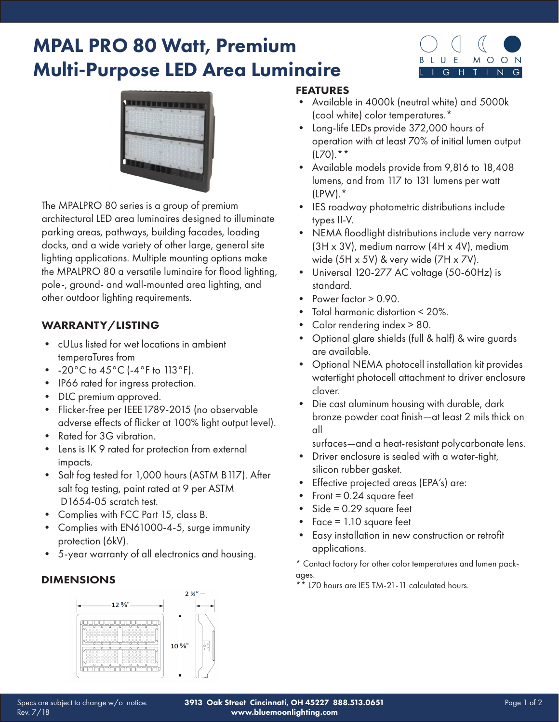# MPAL PRO 80 Watt, Premium Multi-Purpose LED Area Luminaire





The MPALPRO 80 series is a group of premium architectural LED area luminaires designed to illuminate parking areas, pathways, building facades, loading docks, and a wide variety of other large, general site lighting applications. Multiple mounting options make the MPALPRO 80 a versatile luminaire for flood lighting, pole-, ground- and wall-mounted area lighting, and other outdoor lighting requirements.

### WARRANTY/LISTING

- cULus listed for wet locations in ambient temperaTures from
- $-20^{\circ}$ C to  $45^{\circ}$ C ( $-4^{\circ}$ F to 113 $^{\circ}$ F).
- IP66 rated for ingress protection.
- DLC premium approved.
- Flicker-free per IEEE1789-2015 (no observable adverse effects of flicker at 100% light output level).
- Rated for 3G vibration.
- Lens is IK 9 rated for protection from external impacts.
- Salt fog tested for 1,000 hours (ASTM B117). After salt fog testing, paint rated at 9 per ASTM D1654-05 scratch test.
- Complies with FCC Part 15, class B.
- Complies with EN61000-4-5, surge immunity protection (6kV).
- 5-year warranty of all electronics and housing.

### DIMENSIONS



## FEATURES

- Available in 4000k (neutral white) and 5000k (cool white) color temperatures.\*
- Long-life LEDs provide 372,000 hours of operation with at least 70% of initial lumen output  $(L70).$ \*\*
- Available models provide from 9,816 to 18,408 lumens, and from 117 to 131 lumens per watt (LPW).\*
- IES roadway photometric distributions include types II-V.
- NEMA floodlight distributions include very narrow (3H x 3V), medium narrow (4H x 4V), medium wide (5H x 5V) & very wide (7H x 7V).
- Universal 120-277 AC voltage (50-60Hz) is standard.
- Power factor  $> 0.90$ .
- Total harmonic distortion < 20%.
- Color rendering index > 80.
- Optional glare shields (full & half) & wire guards are available.
- Optional NEMA photocell installation kit provides watertight photocell attachment to driver enclosure clover.
- Die cast aluminum housing with durable, dark bronze powder coat finish—at least 2 mils thick on all
	- surfaces—and a heat-resistant polycarbonate lens.
- Driver enclosure is sealed with a water-tight, silicon rubber gasket.
- Effective projected areas (EPA's) are:
- Front =  $0.24$  square feet
- $Side = 0.29$  square feet
- Face = 1.10 square feet
- Easy installation in new construction or retrofit applications.

\* Contact factory for other color temperatures and lumen packages.

\*\* L70 hours are IES TM-21-11 calculated hours.